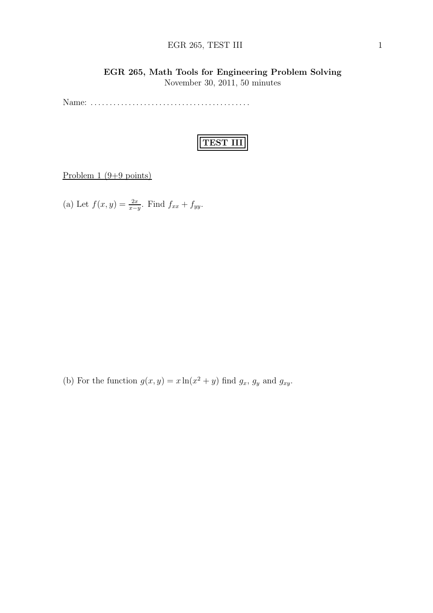#### EGR 265, TEST III 1

### EGR 265, Math Tools for Engineering Problem Solving

November 30, 2011, 50 minutes

Name: . . . . . . . . . . . . . . . . . . . . . . . . . . . . . . . . . . . . . . . . . .



Problem  $1 (9+9 \text{ points})$ 

(a) Let  $f(x, y) = \frac{2x}{x-y}$ . Find  $f_{xx} + f_{yy}$ .

(b) For the function  $g(x, y) = x \ln(x^2 + y)$  find  $g_x$ ,  $g_y$  and  $g_{xy}$ .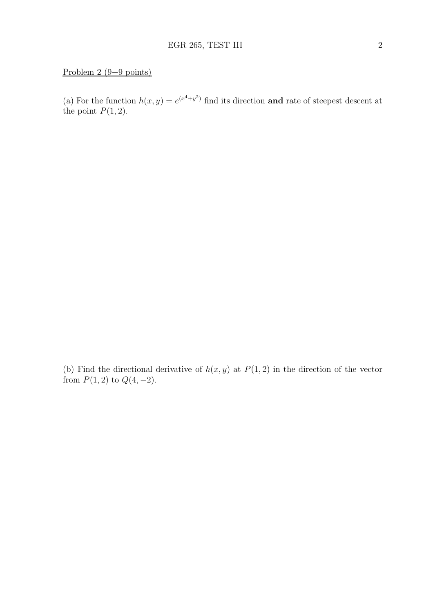### Problem 2 (9+9 points)

(a) For the function  $h(x, y) = e^{(x^4 + y^2)}$  find its direction **and** rate of steepest descent at the point  $P(1, 2)$ .

(b) Find the directional derivative of  $h(x, y)$  at  $P(1, 2)$  in the direction of the vector from  $P(1, 2)$  to  $Q(4, -2)$ .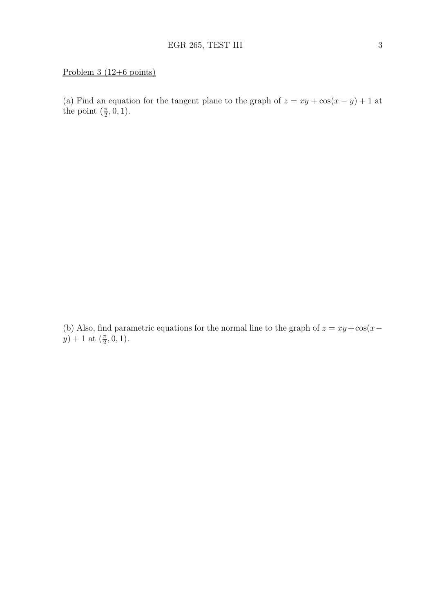### Problem 3 (12+6 points)

(a) Find an equation for the tangent plane to the graph of  $z = xy + cos(x - y) + 1$  at the point  $(\frac{\pi}{2}, 0, 1)$ .

(b) Also, find parametric equations for the normal line to the graph of  $z = xy + \cos(x - y)$  $y) + 1$  at  $(\frac{\pi}{2}, 0, 1)$ .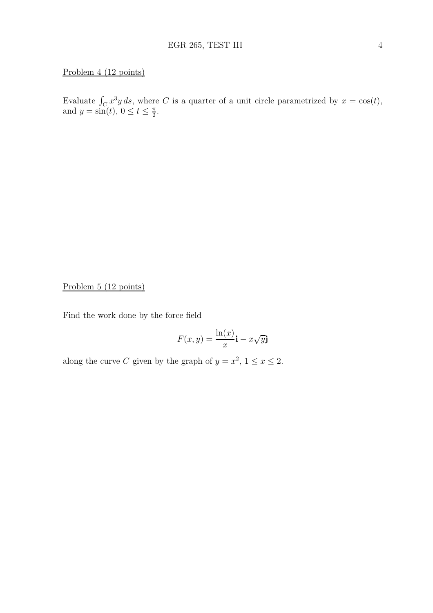### Problem 4 (12 points)

Evaluate  $\int_C x^3 y ds$ , where C is a quarter of a unit circle parametrized by  $x = \cos(t)$ , and  $y = \sin(t)$ ,  $0 \le t \le \frac{\pi}{2}$  $\frac{\pi}{2}$ .

Problem 5 (12 points)

Find the work done by the force field

$$
F(x,y) = \frac{\ln(x)}{x}\mathbf{i} - x\sqrt{y}\mathbf{j}
$$

along the curve C given by the graph of  $y = x^2$ ,  $1 \le x \le 2$ .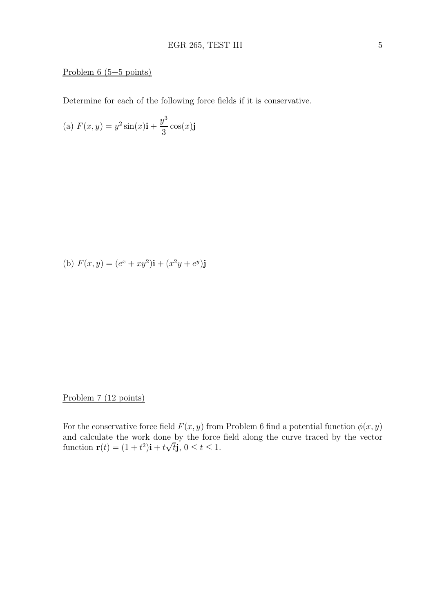### Problem  $6(5+5 \text{ points})$

Determine for each of the following force fields if it is conservative.

(a) 
$$
F(x, y) = y^2 \sin(x) \mathbf{i} + \frac{y^3}{3} \cos(x) \mathbf{j}
$$

(b) 
$$
F(x, y) = (e^x + xy^2)\mathbf{i} + (x^2y + e^y)\mathbf{j}
$$

Problem 7 (12 points)

For the conservative force field  $F(x, y)$  from Problem 6 find a potential function  $\phi(x, y)$ and calculate the work done by the force field along the curve traced by the vector function  $\mathbf{r}(t) = (1 + t^2)\mathbf{i} + t\sqrt{t}\mathbf{j}, 0 \le t \le 1.$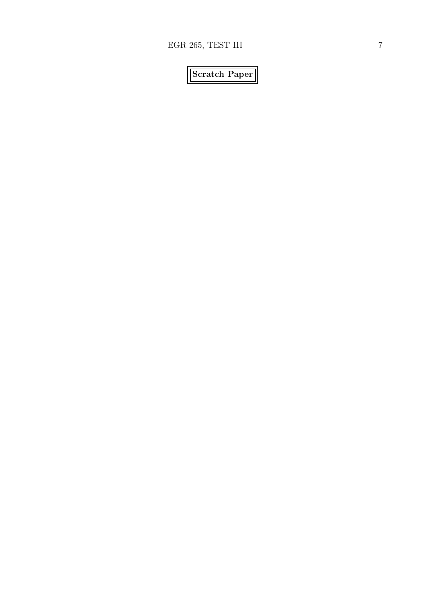# Scratch Paper